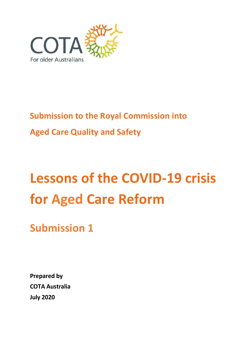

# **Submission to the Royal Commission into Aged Care Quality and Safety**

# **Lessons of the COVID-19 crisis for Aged Care Reform**

**Submission 1**

**Prepared by COTA Australia July 2020**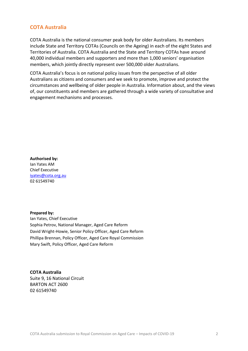#### **COTA Australia**

COTA Australia is the national consumer peak body for older Australians. Its members include State and Territory COTAs (Councils on the Ageing) in each of the eight States and Territories of Australia. COTA Australia and the State and Territory COTAs have around 40,000 individual members and supporters and more than 1,000 seniors' organisation members, which jointly directly represent over 500,000 older Australians.

COTA Australia's focus is on national policy issues from the perspective of all older Australians as citizens and consumers and we seek to promote, improve and protect the circumstances and wellbeing of older people in Australia. Information about, and the views of, our constituents and members are gathered through a wide variety of consultative and engagement mechanisms and processes.

**Authorised by:** Ian Yates AM Chief Executive [iyates@cota.org.au](mailto:iyates@cota.org.au)  02 61549740

**Prepared by:** Ian Yates, Chief Executive Sophia Petrov, National Manager, Aged Care Reform David Wright-Howie, Senior Policy Officer, Aged Care Reform Phillipa Brennan, Policy Officer, Aged Care Royal Commission Mary Swift, Policy Officer, Aged Care Reform

**COTA Australia** Suite 9, 16 National Circuit BARTON ACT 2600 02 61549740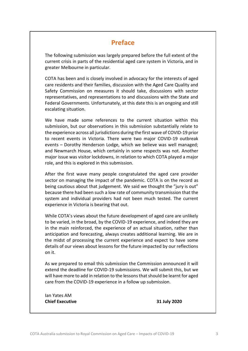# **Preface**

The following submission was largely prepared before the full extent of the current crisis in parts of the residential aged care system in Victoria, and in greater Melbourne in particular.

COTA has been and is closely involved in advocacy for the interests of aged care residents and their families, discussion with the Aged Care Quality and Safety Commission on measures it should take, discussions with sector representatives, and representations to and discussions with the State and Federal Governments. Unfortunately, at this date this is an ongoing and still escalating situation.

We have made some references to the current situation within this submission, but our observations in this submission substantially relate to the experience across all jurisdictions during the first wave of COVID-19 prior to recent events in Victoria. There were two major COVID-19 outbreak events – Dorothy Henderson Lodge, which we believe was well managed; and Newmarch House, which certainly in some respects was not. Another major issue was visitor lockdowns, in relation to which COTA played a major role, and this is explored in this submission.

After the first wave many people congratulated the aged care provider sector on managing the impact of the pandemic. COTA is on the record as being cautious about that judgement. We said we thought the "jury is out" because there had been such a low rate of community transmission that the system and individual providers had not been much tested. The current experience in Victoria is bearing that out.

While COTA's views about the future development of aged care are unlikely to be varied, in the broad, by the COVID-19 experience, and indeed they are in the main reinforced, the experience of an actual situation, rather than anticipation and forecasting, always creates additional learning. We are in the midst of processing the current experience and expect to have some details of our views about lessons for the future impacted by our reflections on it.

As we prepared to email this submission the Commission announced it will extend the deadline for COVID-19 submissions. We will submit this, but we will have more to add in relation to the lessons that should be learnt for aged care from the COVID-19 experience in a follow up submission.

Ian Yates AM **Chief Executive 31 July 2020**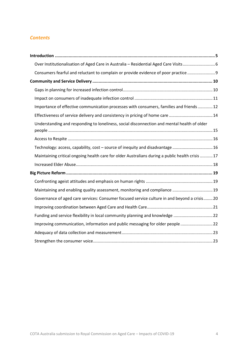#### *Contents*

| Over Institutionalisation of Aged Care in Australia - Residential Aged Care Visits 6             |  |
|--------------------------------------------------------------------------------------------------|--|
| Consumers fearful and reluctant to complain or provide evidence of poor practice  9              |  |
|                                                                                                  |  |
|                                                                                                  |  |
|                                                                                                  |  |
| Importance of effective communication processes with consumers, families and friends  12         |  |
| Effectiveness of service delivery and consistency in pricing of home care 14                     |  |
| Understanding and responding to loneliness, social disconnection and mental health of older      |  |
|                                                                                                  |  |
| Technology: access, capability, cost - source of inequity and disadvantage  16                   |  |
| Maintaining critical ongoing health care for older Australians during a public health crisis  17 |  |
|                                                                                                  |  |
|                                                                                                  |  |
|                                                                                                  |  |
| Maintaining and enabling quality assessment, monitoring and compliance  19                       |  |
| Governance of aged care services: Consumer focused service culture in and beyond a crisis 20     |  |
|                                                                                                  |  |
| Funding and service flexibility in local community planning and knowledge 22                     |  |
| Improving communication, information and public messaging for older people  22                   |  |
|                                                                                                  |  |
|                                                                                                  |  |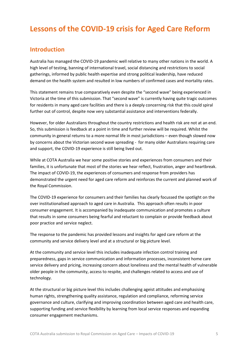# **Lessons of the COVID-19 crisis for Aged Care Reform**

### <span id="page-4-0"></span>**Introduction**

Australia has managed the COVID-19 pandemic well relative to many other nations in the world. A high level of testing, banning of international travel, social distancing and restrictions to social gatherings, informed by public health expertise and strong political leadership, have reduced demand on the health system and resulted in low numbers of confirmed cases and mortality rates.

This statement remains true comparatively even despite the "second wave" being experienced in Victoria at the time of this submission. That "second wave" is currently having quite tragic outcomes for residents in many aged care facilities and there is a deeply concerning risk that this could spiral further out of control, despite now very substantial assistance and interventions federally.

However, for older Australians throughout the country restrictions and health risk are not at an end. So, this submission is feedback at a point in time and further review will be required. Whilst the community in general returns to a more normal life in most jurisdictions – even though slowed now by concerns about the Victorian second wave spreading - for many older Australians requiring care and support, the COVID-19 experience is still being lived out.

While at COTA Australia we hear some positive stories and experiences from consumers and their families, it is unfortunate that most of the stories we hear reflect, frustration, anger and heartbreak. The impact of COVID-19, the experiences of consumers and response from providers has demonstrated the urgent need for aged care reform and reinforces the current and planned work of the Royal Commission.

The COVID-19 experience for consumers and their families has clearly focussed the spotlight on the over institutionalised approach to aged care in Australia. This approach often results in poor consumer engagement. It is accompanied by inadequate communication and promotes a culture that results in some consumers being fearful and reluctant to complain or provide feedback about poor practice and service neglect.

The response to the pandemic has provided lessons and insights for aged care reform at the community and service delivery level and at a structural or big picture level.

At the community and service level this includes inadequate infection control training and preparedness, gaps in service communication and information processes, inconsistent home care service delivery and pricing, increasing concern about loneliness and the mental health of vulnerable older people in the community, access to respite, and challenges related to access and use of technology.

At the structural or big picture level this includes challenging ageist attitudes and emphasising human rights, strengthening quality assistance, regulation and compliance, reforming service governance and culture, clarifying and improving coordination between aged care and health care, supporting funding and service flexibility by learning from local service responses and expanding consumer engagement mechanisms.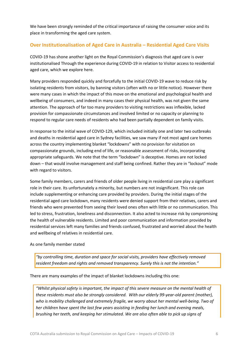We have been strongly reminded of the critical importance of raising the consumer voice and its place in transforming the aged care system.

#### <span id="page-5-0"></span>**Over Institutionalisation of Aged Care in Australia – Residential Aged Care Visits**

COVID-19 has shone another light on the Royal Commission's diagnosis that aged care is over institutionalised Through the experience during COVID-19 in relation to Visitor access to residential aged care, which we explore here.

Many providers responded quickly and forcefully to the initial COVID-19 wave to reduce risk by isolating residents from visitors, by banning visitors (often with no or little notice). However there were many cases in which the impact of this move on the emotional and psychological health and wellbeing of consumers, and indeed in many cases their physical health, was not given the same attention. The approach of far too many providers to visiting restrictions was inflexible, lacked provision for compassionate circumstances and involved limited or no capacity or planning to respond to regular care needs of residents who had been partially dependent on family visits.

In response to the initial wave of COVID-129, which included initially one and later two outbreaks and deaths in residential aged care in Sydney facilities, we saw many if not most aged care homes across the country implementing blanket "lockdowns" with no provision for visitation on compassionate grounds, including end of life, or reasonable assessment of risks, incorporating appropriate safeguards. We note that the term "lockdown" is deceptive. Homes are not locked down – that would involve management and staff being confined. Rather they are in "lockout" mode with regard to visitors.

Some family members, carers and friends of older people living in residential care play a significant role in their care. Its unfortunately a minority, but numbers are not insignificant. This role can include supplementing or enhancing care provided by providers. During the initial stages of the residential aged care lockdown, many residents were denied support from their relatives, carers and friends who were prevented from seeing their loved ones often with little or no communication. This led to stress, frustration, loneliness and disconnection. It also acted to increase risk by compromising the health of vulnerable residents. Limited and poor communication and information provided by residential services left many families and friends confused, frustrated and worried about the health and wellbeing of relatives in residential care.

#### As one family member stated

*"by controlling time, duration and space for social visits, providers have effectively removed resident freedom and rights and removed transparency. Surely this is not the intention."*

There are many examples of the impact of blanket lockdowns including this one:

*"Whilst physical safety is important, the impact of this severe measure on the mental health of these residents must also be strongly considered. With our elderly 99-year-old parent (mother), who is mobility challenged and extremely fragile, we worry about her mental well-being. Two of her children have spent the last few years assisting in feeding her lunch and evening meals, brushing her teeth, and keeping her stimulated. We are also often able to pick up signs of*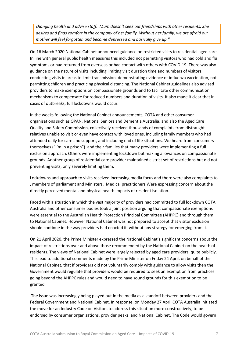*changing health and advise staff. Mum doesn't seek out friendships with other residents. She desires and finds comfort in the company of her family. Without her family, we are afraid our mother will feel forgotten and become depressed and basically give up."*

On 16 March 2020 National Cabinet announced guidance on restricted visits to residential aged care. In line with general public health measures this included not permitting visitors who had cold and flu symptoms or had returned from overseas or had contact with others with COVID-19. There was also guidance on the nature of visits including limiting visit duration time and numbers of visitors, conducting visits in areas to limit transmission, demonstrating evidence of influenza vaccination, not permitting children and practicing physical distancing. The National Cabinet guidelines also advised providers to make exemptions on compassionate grounds and to facilitate other communication mechanisms to compensate for reduced numbers and duration of visits. It also made it clear that in cases of outbreaks, full lockdowns would occur.

In the weeks following the National Cabinet announcements, COTA and other consumer organisations such as OPAN, National Seniors and Dementia Australia, and also the Aged Care Quality and Safety Commission, collectively received thousands of complaints from distraught relatives unable to visit or even have contact with loved ones, including family members who had attended daily for care and support, and including end of life situations. We heard from consumers themselves ("I'm in a prison") and their families that many providers were implementing a full exclusion approach. Others were implementing lockdown but making allowances on compassionate grounds. Another group of residential care provider maintained a strict set of restrictions but did not preventing visits, only severely limiting them.

Lockdowns and approach to visits received increasing media focus and there were also complaints to , members of parliament and Ministers. Medical practitioners Were expressing concern about the directly perceived mental and physical health impacts of resident isolation.

Faced with a situation in which the vast majority of providers had committed to full lockdown COTA Australia and other consumer bodies took a joint position arguing that compassionate exemptions were essential to the Australian Health Protection Principal Committee (AHPPC) and through them to National Cabinet. However National Cabinet was not prepared to accept that visitor exclusion should continue in the way providers had enacted it, without any strategy for emerging from it.

On 21 April 2020, the Prime Minister expressed the National Cabinet's significant concerns about the impact of restrictions over and above those recommended by the National Cabinet on the health of residents. The views of National Cabinet were largely rejected by aged care providers, quite publicly. This lead to additional comments made by the Prime Minister on Friday 24 April, on behalf of the National Cabinet, that if providers did not voluntarily comply with guidance to allow visits then the Government would regulate that providers would be required to seek an exemption from practices going beyond the AHPPC rules and would need to have sound grounds for this exemption to be granted.

The issue was increasingly being played out in the media as a standoff between providers and the Federal Government and National Cabinet. In response, on Monday 27 April COTA Australia initiated the move for an Industry Code on Visitors to address this situation more constructively, to be endorsed by consumer organisations, provider peaks, and National Cabinet. The Code would govern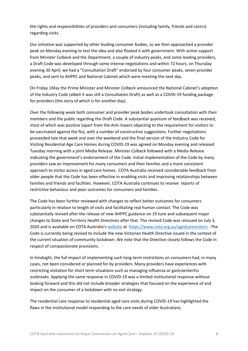the rights and responsibilities of providers and consumers (including family, friends and carers) regarding visits.

Our initiative was supported by other leading consumer bodies, so we then approached a provider peak on Monday evening to test the idea and also floated it with government. With active support from Minister Colbeck and the Department, a couple of industry peaks, and some leading providers, a Draft Code was developed through some intense negotiations and within 72 hours, on Thursday evening 30 April, we had a "Consultation Draft" endorsed by four consumer peaks, seven provider peaks, and sent to AHPPC and National Cabinet which were meeting the next day.

On Friday 1May the Prime Minister and Minister Colbeck announced the National Cabinet's adoption of the Industry Code (albeit it was still a Consultation Draft) as well as a COVID-19 funding package for providers (the story of which is for another day).

Over the following week both consumer and provider peak bodies undertook consultation with their members and the public regarding the Draft Code. A substantial quantum of feedback was received, most of which was positive (apart from the Anti-Vaxers objecting to the requirement for visitors to be vaccinated against the flu), with a number of constructive suggestions. Further negotiations proceeded late that week and over the weekend and the final version of the Industry Code for Visiting Residential Age Care Homes during COVID-19 was agreed on Monday evening and released Tuesday morning with a joint Media Release. Minister Colbeck followed with a Media Release indicating the government's endorsement of the Code. Initial implementation of the Code by many providers saw an improvement for many consumers and their families and a more consistent approach to visitor access in aged care homes. COTA Australia received considerable feedback from older people that the Code has been effective in enabling visits and improving relationships between families and friends and facilities. However, COTA Australia continues to receive reports of restrictive behaviour and poor outcomes for consumers and families.

The Code has been further reviewed with changes to reflect better outcomes for consumers particularly in relation to length of visits and facilitating real human contact. The Code was substantially revised after the release of new AHPPC guidance on 19 June and subsequent major changes to State and Territory Health Directives after that. The revised Code was reissued on July 3, 2020 and is available on COTA Australia's [website](https://www.cota.org.au/policy/aged-care-reform/agedcarevisitors/) at <https://www.cota.org.au/agedcarevisitors> . The Code is currently being revised to include the new Victorian Health Directive issued in the context of the current situation of community lockdown. We note that the Directive closely follows the Code in respect of compassionate provisions.

In hindsight, the full impact of implementing such long-term restrictions on consumers had, in many cases, not been considered or planned for by providers. Many providers have experiences with restricting visitation for short term situations such as managing influenza or gastroenteritis outbreaks. Applying the same response in COVID-19 was a limited institutional response without looking forward and this did not include broader strategies that focused on the experience of and impact on the consumer of a lockdown with no exit strategy.

The residential care response to residential aged care visits during COVID-19 has highlighted the flaws in the institutional model responding to the care needs of older Australians.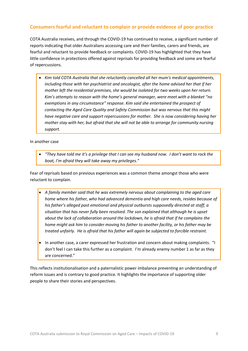#### <span id="page-8-0"></span>**Consumers fearful and reluctant to complain or provide evidence of poor practice**

COTA Australia receives, and through the COVID-19 has continued to receive, a significant number of reports indicating that older Australians accessing care and their families, carers and friends, are fearful and reluctant to provide feedback or complaints. COVID-19 has highlighted that they have little confidence in protections offered against reprisals for providing feedback and some are fearful of repercussions.

• *Kim told COTA Australia that she reluctantly cancelled all her mum's medical appointments, including those with her psychiatrist and oncologist, after the home advised her that if her mother left the residential premises, she would be isolated for two weeks upon her return. Kim's attempts to reason with the home's general manager, were meet with a blanket "no exemptions in any circumstance" response. Kim said she entertained the prospect of contacting the Aged Care Quality and Safety Commission but was nervous that this might have negative care and support repercussions for mother. She is now considering having her mother stay with her, but afraid that she will not be able to arrange for community nursing support.*

In another case

*"They have told me it's a privilege that I can see my husband now. I don't want to rock the boat, I'm afraid they will take away my privileges."*

Fear of reprisals based on previous experiences was a common theme amongst those who were reluctant to complain.

- *A family member said that he was extremely nervous about complaining to the aged care home where his father, who had advanced dementia and high care needs, resides because of his father's alleged past emotional and physical outbursts supposedly directed at staff; a situation that has never fully been resolved. The son explained that although he is upset about the lack of collaboration around the lockdown, he is afraid that if he complains the home might ask him to consider moving his father to another facility, or his father may be treated unfairly. He is afraid that his father will again be subjected to forcible restraint.*
- In another case, a carer expressed her frustration and concern about making complaints. "I don't feel I can take this further as a complaint. I'm already enemy number 1 as far as they are concerned."

This reflects institutionalisation and a paternalistic power imbalance preventing an understanding of reform issues and is contrary to good practice. It highlights the importance of supporting older people to share their stories and perspectives.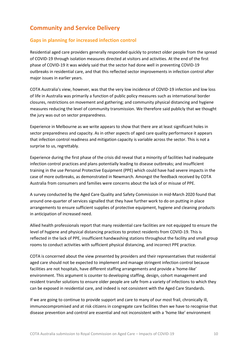# <span id="page-9-0"></span>**Community and Service Delivery**

#### <span id="page-9-1"></span>**Gaps in planning for increased infection control**

Residential aged care providers generally responded quickly to protect older people from the spread of COVID-19 through isolation measures directed at visitors and activities. At the end of the first phase of COVID-19 it was widely said that the sector had done well in preventing COVID-19 outbreaks in residential care, and that this reflected sector improvements in infection control after major issues in earlier years.

COTA Australia's view, however, was that the very low incidence of COVID-19 infection and low loss of life in Australia was primarily a function of public policy measures such as international border closures, restrictions on movement and gathering; and community physical distancing and hygiene measures reducing the level of community transmission. We therefore said publicly that we thought the jury was out on sector preparedness.

Experience in Melbourne as we write appears to show that there are at least significant holes in sector preparedness and capacity. As in other aspects of aged care quality performance it appears that infection control readiness and mitigation capacity is variable across the sector. This is not a surprise to us, regrettably.

Experience during the first phase of the crisis did reveal that a minority of facilities had inadequate infection control practices and plans potentially leading to disease outbreaks; and insufficient training in the use Personal Protective Equipment (PPE) which could have had severe impacts in the case of more outbreaks, as demonstrated in Newmarch. Amongst the feedback received by COTA Australia from consumers and families were concerns about the lack of or misuse of PPE.

A survey conducted by the Aged Care Quality and Safety Commission in mid-March 2020 found that around one-quarter of services signalled that they have further work to do on putting in place arrangements to ensure sufficient supplies of protective equipment, hygiene and cleaning products in anticipation of increased need.

Allied health professionals report that many residential care facilities are not equipped to ensure the level of hygiene and physical distancing practices to protect residents from COVID-19. This is reflected in the lack of PPE, insufficient handwashing stations throughout the facility and small group rooms to conduct activities with sufficient physical distancing, and incorrect PPE practice.

COTA is concerned about the view presented by providers and their representatives that residential aged care should not be expected to implement and manage stringent infection control because facilities are not hospitals, have different staffing arrangements and provide a 'home-like' environment. This argument is counter to developing staffing, design, cohort management and resident transfer solutions to ensure older people are safe from a variety of infections to which they can be exposed in residential care, and indeed is not consistent with the Aged Care Standards.

If we are going to continue to provide support and care to many of our most frail, chronically ill, immunocompromised and at risk citizens in congregate care facilities then we have to recognise that disease prevention and control are essential and not inconsistent with a 'home like' environment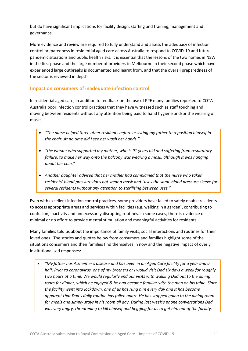but do have significant implications for facility design, staffing and training, management and governance.

More evidence and review are required to fully understand and assess the adequacy of infection control preparedness in residential aged care across Australia to respond to COVID-19 and future pandemic situations and public health risks. It is essential that the lessons of the two homes in NSW in the first phase and the large number of providers in Melbourne in their second phase which have experienced large outbreaks is documented and learnt from, and that the overall preparedness of the sector is reviewed in depth.

#### <span id="page-10-0"></span>**Impact on consumers of inadequate infection control**

In residential aged care, in addition to feedback on the use of PPE many families reported to COTA Australia poor infection control practices that they have witnessed such as staff touching and moving between residents without any attention being paid to hand hygiene and/or the wearing of masks.

- *"The nurse helped three other residents before assisting my father to reposition himself in the chair. At no time did I see her wash her hands."*
- *"the worker who supported my mother, who is 91 years old and suffering from respiratory failure, to make her way onto the balcony was wearing a mask, although it was hanging about her chin."*
- *Another daughter advised that her mother had complained that the nurse who takes residents' blood pressure does not wear a mask and "uses the same blood pressure sleeve for several residents without any attention to sterilising between uses."*

Even with excellent infection control practices, some providers have failed to safely enable residents to access appropriate areas and services within facilities (e.g. walking in a garden), contributing to confusion, inactivity and unnecessarily disrupting routines. In some cases, there is evidence of minimal or no effort to provide mental stimulation and meaningful activities for residents.

Many families told us about the importance of family visits, social interactions and routines for their loved ones. The stories and quotes below from consumers and families highlight some of the situations consumers and their families find themselves in now and the negative impact of overly institutionalised responses:

• *"My father has Alzheimer's disease and has been in an Aged Care facility for a year and a half. Prior to coronavirus, one of my brothers or I would visit Dad six days a week for roughly two hours at a time. We would regularly end our visits with walking Dad out to the dining room for dinner, which he enjoyed & he had become familiar with the men on his table. Since the facility went into lockdown, one of us has rung him every day and it has become apparent that Dad's daily routine has fallen apart. He has stopped going to the dining room for meals and simply stays in his room all day. During last week's phone conversations Dad was very angry, threatening to kill himself and begging for us to get him out of the facility.*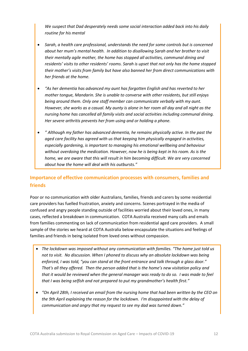*We suspect that Dad desperately needs some social interaction added back into his daily routine for his mental* 

- *Sarah, a health care professional, understands the need for some controls but is concerned about her mum's mental health. In addition to disallowing Sarah and her brother to visit their mentally agile mother, the home has stopped all activities, communal dining and residents' visits to other residents' rooms. Sarah is upset that not only has the home stopped their mother's visits from family but have also banned her from direct communications with her friends at the home.*
- *"As her dementia has advanced my aunt has forgotten English and has reverted to her mother tongue, Mandarin. She is unable to converse with other residents, but still enjoys being around them. Only one staff member can communicate verbally with my aunt. However, she works as a casual. My aunty is alone in her room all day and all night as the nursing home has cancelled all family visits and social activities including communal dining. Her severe arthritis prevents her from using and or holding a phone.*
- *" Although my father has advanced dementia, he remains physically active. In the past the aged care facility has agreed with us that keeping him physically engaged in activities, especially gardening, is important to managing his emotional wellbeing and behaviour without overdoing the medication. However, now he is being kept in his room. As is the home, we are aware that this will result in him becoming difficult. We are very concerned about how the home will deal with his outbursts."*

#### <span id="page-11-0"></span>**Importance of effective communication processes with consumers, families and friends**

Poor or no communication with older Australians, families, friends and carers by some residential care providers has fuelled frustration, anxiety and concerns. Scenes portrayed in the media of confused and angry people standing outside of facilities worried about their loved ones, in many cases, reflected a breakdown in communication. COTA Australia received many calls and emails from families commenting on lack of communication from residential aged care providers. A small sample of the stories we heard at COTA Australia below encapsulate the situations and feelings of families and friends in being isolated from loved ones without compassion.

- *The lockdown was imposed without any communication with families. "The home just told us not to visit. No discussion. When I phoned to discuss why an absolute lockdown was being enforced, I was told, "you can stand at the front entrance and talk through a glass door." That's all they offered. Then the person added that is the home's new visitation policy and that it would be reviewed when the general manager was ready to do so. I was made to feel that I was being selfish and not prepared to put my grandmother's health first."*
- *"On April 28th, I received an email from the nursing home that had been written by the CEO on the 9th April explaining the reason for the lockdown. I'm disappointed with the delay of communication and angry that my request to see my dad was turned down."*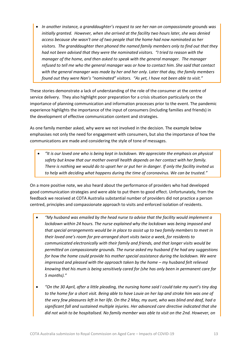• *In another instance, a granddaughter's request to see her nan on compassionate grounds was initially granted. However, when she arrived at the facility two hours later, she was denied access because she wasn't one of two people that the home had now nominated as her visitors. The granddaughter then phoned the named family members only to find out that they had not been advised that they were the nominated visitors. "I tried to reason with the manager of the home, and then asked to speak with the general manager. The manager refused to tell me who the general manager was or how to contact him. She said that contact with the general manager was made by her and her only. Later that day, the family members found out they were Nan's "nominated" visitors. "As yet, I have not been able to visit."*

These stories demonstrate a lack of understanding of the role of the consumer at the centre of service delivery. They also highlight poor preparation for a crisis situation particularly on the importance of planning communication and information processes prior to the event. The pandemic experience highlights the importance of the input of consumers (including families and friends) in the development of effective communication content and strategies.

As one family member asked, why were we not involved in the decision. The example below emphasises not only the need for engagement with consumers, but also the importance of how the communications are made and considering the style of tone of messages.

• *"It is our loved one who is being kept in lockdown. We appreciate the emphasis on physical safety but know that our mother overall health depends on her contact with her family. There is nothing we would do to upset her or put her in danger. If only the facility invited us to help with deciding what happens during the time of coronavirus. We can be trusted."*

On a more positive note, we also heard about the performance of providers who had developed good communication strategies and were able to put them to good effect. Unfortunately, from the feedback we received at COTA Australia substantial number of providers did not practice a person centred, principles and compassionate approach to visits and enforced isolation of residents.

- *"My husband was emailed by the head nurse to advise that the facility would implement a lockdown within 24 hours. The nurse explained why the lockdown was being imposed and that special arrangements would be in place to assist up to two family members to meet in their loved one's room for pre-arranged short visits twice a week, for residents to communicated electronically with their family and friends, and that longer visits would be permitted on compassionate grounds. The nurse asked my husband if he had any suggestions for how the home could provide his mother special assistance during the lockdown. We were impressed and pleased with the approach taken by the home – my husband felt relieved knowing that his mum is being sensitively cared for (she has only been in permanent care for 5 months)."*
- *"On the 30 April, after a little pleading, the nursing home said I could take my aunt's tiny dog to the home for a short visit. Being able to have Louie on her lap and stroke him was one of the very few pleasures left in her life. On the 2 May, my aunt, who was blind and deaf, had a significant fall and sustained multiple injuries. Her advanced care directive indicated that she did not wish to be hospitalised. No family member was able to visit on the 2nd. However, on*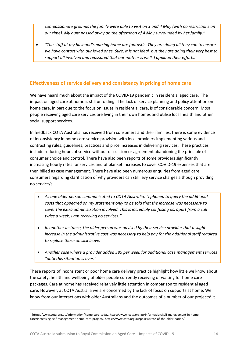*compassionate grounds the family were able to visit on 3 and 4 May (with no restrictions on our time). My aunt passed away on the afternoon of 4 May surrounded by her family."*

• *"The staff at my husband's nursing home are fantastic. They are doing all they can to ensure we have contact with our loved ones. Sure, it is not ideal, but they are doing their very best to support all involved and reassured that our mother is well. I applaud their efforts."*

#### <span id="page-13-0"></span>**Effectiveness of service delivery and consistency in pricing of home care**

We have heard much about the impact of the COVID-19 pandemic in residential aged care. The impact on aged care at home is still unfolding. The lack of service planning and policy attention on home care, in part due to the focus on issues in residential care, is of considerable concern. Most people receiving aged care services are living in their own homes and utilise local health and other social support services.

In feedback COTA Australia has received from consumers and their families, there is some evidence of inconsistency in home care service provision with local providers implementing various and contrasting rules, guidelines, practices and price increases in delivering services. These practices include reducing hours of service without discussion or agreement abandoning the principle of consumer choice and control. There have also been reports of some providers significantly increasing hourly rates for services and of blanket increases to cover COVID-19 expenses that are then billed as case management. There have also been numerous enquiries from aged care consumers regarding clarification of why providers can still levy service charges although providing no service/s.

- *As one older person communicated to COTA Australia, "I phoned to query the additional costs that appeared on my statement only to be told that the increase was necessary to cover the extra administration involved. This is incredibly confusing as, apart from a call twice a week, I am receiving no services."*
- *In another instance, the older person was advised by their service provider that a slight increase in the administrative cost was necessary to help pay for the additional staff required to replace those on sick leave.*
- *Another case where a provider added \$85 per week for additional case management services "until this situation is over."*

These reports of inconsistent or poor home care delivery practice highlight how little we know about the safety, health and wellbeing of older people currently receiving or waiting for home care packages. Care at home has received relatively little attention in comparison to residential aged care. However, at COTA Australia we are concerned by the lack of focus on supports at home. We know from our interactions with older Australians and the outcomes of a number of our projects<sup>1</sup> it

<sup>1</sup> https://www.cota.org.au/information/home-care-today, https://www.cota.org.au/information/self-management-in-homecare/increasing-self-management-home-care-project/, https://www.cota.org.au/policy/state-of-the-older-nation/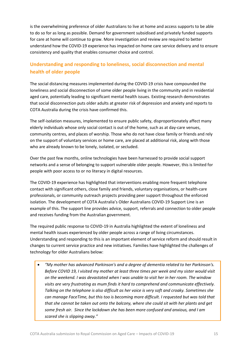is the overwhelming preference of older Australians to live at home and access supports to be able to do so for as long as possible. Demand for government subsidised and privately funded supports for care at home will continue to grow. More investigation and review are required to better understand how the COVID-19 experience has impacted on home care service delivery and to ensure consistency and quality that enables consumer choice and control.

# <span id="page-14-0"></span>**Understanding and responding to loneliness, social disconnection and mental health of older people**

The social distancing measures implemented during the COVID-19 crisis have compounded the loneliness and social disconnection of some older people living in the community and in residential aged care, potentially leading to significant mental health issues. Existing research demonstrates that social disconnection puts older adults at greater risk of depression and anxiety and reports to COTA Australia during the crisis have confirmed this.

The self-isolation measures, implemented to ensure public safety, disproportionately affect many elderly individuals whose only social contact is out of the home, such as at day-care venues, community centres, and places of worship. Those who do not have close family or friends and rely on the support of voluntary services or home care, are placed at additional risk, along with those who are already known to be lonely, isolated, or secluded.

Over the past few months, online technologies have been harnessed to provide social support networks and a sense of belonging to support vulnerable older people. However, this is limited for people with poor access to or no literacy in digital resources.

The COVID-19 experience has highlighted that interventions enabling more frequent telephone contact with significant others, close family and friends, voluntary organisations, or health-care professionals, or community outreach projects providing peer support throughout the enforced isolation. The development of COTA Australia's Older Australians COVID-19 Support Line is an example of this. The support line provides advice, support, referrals and connection to older people and receives funding from the Australian government.

The required public response to COVID-19 in Australia highlighted the extent of loneliness and mental health issues experienced by older people across a range of living circumstances. Understanding and responding to this is an important element of service reform and should result in changes to current service practice and new initiatives. Families have highlighted the challenges of technology for older Australians below:

• *"My mother has advanced Parkinson's and a degree of dementia related to her Parkinson's. Before COVID 19, I visited my mother at least three times per week and my sister would visit on the weekend. I was devastated when I was unable to visit her in her room. The window visits are very frustrating as mum finds it hard to comprehend and communicate effectively. Talking on the telephone is also difficult as her voice is very soft and croaky. Sometimes she can manage FaceTime, but this too is becoming more difficult. I requested but was told that that she cannot be taken out onto the balcony, where she could sit with her plants and get some fresh air. Since the lockdown she has been more confused and anxious, and I am scared she is slipping away."*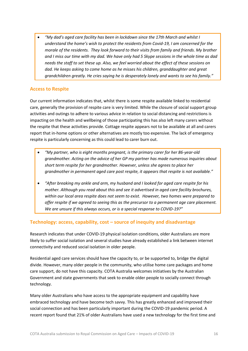• *"My dad's aged care facility has been in lockdown since the 17th March and whilst I understand the home's wish to protect the residents from Covid-19, I am concerned for the morale of the residents. They look forward to their visits from family and friends. My brother and I miss our time with my dad. We have only had 5 Skype sessions in the whole time as dad needs the staff to set these up. Also, we feel worried about the effect of these sessions on dad. He keeps asking to come home as he misses his children, granddaughter and great grandchildren greatly. He cries saying he is desperately lonely and wants to see his family."*

#### <span id="page-15-0"></span>**Access to Respite**

Our current information indicates that, whilst there is some respite available linked to residential care, generally the provision of respite care is very limited. While the closure of social support group activities and outings to adhere to various advice in relation to social distancing and restrictions is impacting on the health and wellbeing of those participating this has also left many carers without the respite that these activities provide. Cottage respite appears not to be available at all and carers report that in-home options or other alternatives are mostly too expensive. The lack of emergency respite is particularly concerning as this could lead to carer burn out.

- *"My partner, who is eight months pregnant, is the primary carer for her 86-year-old grandmother. Acting on the advice of her GP my partner has made numerous inquiries about short term respite for her grandmother. However, unless she agrees to place her grandmother in permanent aged care post respite, it appears that respite is not available."*
- *"After breaking my ankle and arm, my husband and I looked for aged care respite for his mother. Although you read about this and see it advertised in aged care facility brochures, within our local area respite does not seem to exist. However, two homes were prepared to offer respite if we agreed to seeing this as the precursor to a permanent age care placement. We are unsure if this always occurs, or is a special response to COVID-19?"*

#### <span id="page-15-1"></span>**Technology: access, capability, cost – source of inequity and disadvantage**

Research indicates that under COVID-19 physical isolation conditions, older Australians are more likely to suffer social isolation and several studies have already established a link between internet connectivity and reduced social isolation in older people.

Residential aged care services should have the capacity to, or be supported to, bridge the digital divide. However, many older people in the community, who utilise home care packages and home care support, do not have this capacity. COTA Australia welcomes initiatives by the Australian Government and state governments that seek to enable older people to socially connect through technology.

Many older Australians who have access to the appropriate equipment and capability have embraced technology and have become tech savvy. This has greatly enhanced and improved their social connection and has been particularly important during the COVID-19 pandemic period. A recent report found that 21% of older Australians have used a new technology for the first time and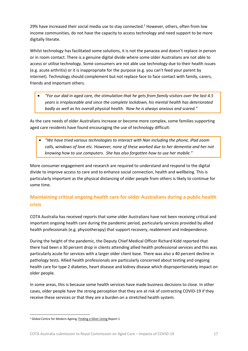29% have increased their social media use to stay connected.<sup>2</sup> However, others, often from low income communities, do not have the capacity to access technology and need support to be more digitally literate.

Whilst technology has facilitated some solutions, it is not the panacea and doesn't replace in person or in room contact. There is a genuine digital divide where some older Australians are not able to access or utilise technology. Some consumers are not able use technology due to their health issues (e.g. acute arthritis) or it is inappropriate for the purpose (e.g. you can't feed your parent by internet). Technology should complement but not replace face to face contact with family, carers, friends and important others.

• *"For our dad in aged care, the stimulation that he gets from family visitors over the last 4.5 years is irreplaceable and since the complete lockdown, his mental health has deteriorated badly as well as his overall physical health. Now he is always anxious and scared."*

As the care needs of older Australians increase or become more complex, some families supporting aged care residents have found encouraging the use of technology difficult:

• *"We have tried various technologies to interact with Nan including the phone, iPad zoom calls, windows of love etc. However, none of these worked due to her dementia and her not knowing how to use computers. She has also forgotten how to use her mobile."*

More consumer engagement and research are required to understand and respond to the digital divide to improve access to care and to enhance social connection, health and wellbeing. This is particularly important as the physical distancing of older people from others is likely to continue for some time.

# <span id="page-16-0"></span>**Maintaining critical ongoing health care for older Australians during a public health crisis**

COTA Australia has received reports that some older Australians have not been receiving critical and important ongoing health care during the pandemic period, particularly services provided by allied health professionals (e.g. physiotherapy) that support recovery, reablement and independence.

During the height of the pandemic, the Deputy Chief Medical Officer Richard Kidd reported that there had been a 30 percent drop in clients attending allied health professional services and this was particularly acute for services with a larger older client base. There was also a 40 percent decline in pathology tests. Allied health professionals are particularly concerned about testing and ongoing health care for type 2 diabetes, heart disease and kidney disease which disproportionately impact on older people.

In some areas, this is because some health services have made business decisions to close. In other cases, older people have the strong perception that they are at risk of contracting COVID-19 if they receive these services or that they are a burden on a stretched health system.

<sup>&</sup>lt;sup>2</sup> Global Centre for Modern Ageing, **Finding a Silver Lining Report 1**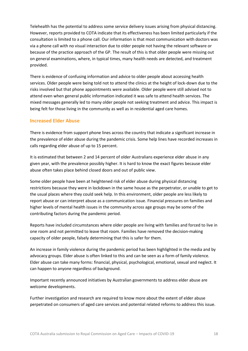Telehealth has the potential to address some service delivery issues arising from physical distancing. However, reports provided to COTA indicate that its effectiveness has been limited particularly if the consultation is limited to a phone call. Our information is that most communication with doctors was via a phone call with no visual interaction due to older people not having the relevant software or because of the practice approach of the GP. The result of this is that older people were missing out on general examinations, where, in typical times, many health needs are detected, and treatment provided.

There is evidence of confusing information and advice to older people about accessing health services. Older people were being told not to attend the clinics at the height of lock-down due to the risks involved but that phone appointments were available. Older people were still advised not to attend even when general public information indicated it was safe to attend health services. The mixed messages generally led to many older people not seeking treatment and advice. This impact is being felt for those living in the community as well as in residential aged care homes.

#### <span id="page-17-0"></span>**Increased Elder Abuse**

There is evidence from support phone lines across the country that indicate a significant increase in the prevalence of elder abuse during the pandemic crisis. Some help lines have recorded increases in calls regarding elder abuse of up to 15 percent.

It is estimated that between 2 and 14 percent of older Australians experience elder abuse in any given year, with the prevalence possibly higher. It is hard to know the exact figures because elder abuse often takes place behind closed doors and out of public view.

Some older people have been at heightened risk of elder abuse during physical distancing restrictions because they were in lockdown in the same house as the perpetrator, or unable to get to the usual places where they could seek help. In this environment, older people are less likely to report abuse or can interpret abuse as a communication issue. Financial pressures on families and higher levels of mental health issues in the community across age groups may be some of the contributing factors during the pandemic period.

Reports have included circumstances where older people are living with families and forced to live in one room and not permitted to leave that room. Families have removed the decision-making capacity of older people, falsely determining that this is safer for them.

An increase in family violence during the pandemic period has been highlighted in the media and by advocacy groups. Elder abuse is often linked to this and can be seen as a form of family violence. Elder abuse can take many forms: financial, physical, psychological, emotional, sexual and neglect. It can happen to anyone regardless of background.

Important recently announced initiatives by Australian governments to address elder abuse are welcome developments.

Further investigation and research are required to know more about the extent of elder abuse perpetrated on consumers of aged care services and potential related reforms to address this issue.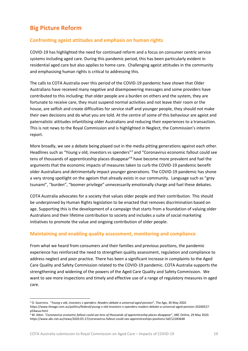# <span id="page-18-0"></span>**Big Picture Reform**

#### <span id="page-18-1"></span>**Confronting ageist attitudes and emphasis on human rights**

COVID-19 has highlighted the need for continued reform and a focus on consumer centric service systems including aged care. During this pandemic period, this has been particularly evident in residential aged care but also applies to home care. Challenging ageist attitudes in the community and emphasising human rights is critical to addressing this.

The calls to COTA Australia over this period of the COVID-19 pandemic have shown that Older Australians have received many negative and disempowering messages and some providers have contributed to this including: that older people are a burden on others and the system, they are fortunate to receive care, they must suspend normal activities and not leave their room or the house, are selfish and create difficulties for service staff and younger people, they should not make their own decisions and do what you are told. At the centre of some of this behaviour are ageist and paternalistic attitudes infantilising older Australians and reducing their experiences to a transaction. This is not news to the Royal Commission and is highlighted in Neglect, the Commission's interim report.

More broadly, we see a debate being played out in the media pitting generations against each other. Headlines such as "Young v old, investors vs spenders"<sup>3</sup> and "Coronavirus economic fallout could see tens of thousands of apprenticeship places disappear" <sup>4</sup> have become more prevalent and fuel the arguments that the economic impacts of measures taken to curb the COVID-19 pandemic benefit older Australians and detrimentally impact younger generations. The COVID-19 pandemic has shone a very strong spotlight on the ageism that already exists in our community. Language such as "grey tsunami", "burden", "boomer privilege" unnecessarily emotionally charge and fuel these debates.

COTA Australia advocates for a society that values older people and their contribution. This should be underpinned by Human Rights legislation to be enacted that removes discrimination based on age. Supporting this is the development of a campaign that starts from a foundation of valuing older Australians and their lifetime contribution to society and includes a suite of social marketing initiatives to promote the value and ongoing contribution of older people.

#### <span id="page-18-2"></span>**Maintaining and enabling quality assessment, monitoring and compliance**

From what we heard from consumers and their families and previous positions, the pandemic experience has reinforced the need to strengthen quality assessment, regulation and compliance to address neglect and poor practice. There has been a significant increase in complaints to the Aged Care Quality and Safety Commission related to the COVID-19 pandemic. COTA Australia supports the strengthening and widening of the powers of the Aged Care Quality and Safety Commission. We want to see more inspections and timely and effective use of a range of regulatory measures in aged care.

<sup>3</sup> O. Guerrera. "*Young v old, investors v spenders: Readers debate a universal aged pension*", The Age, 30 May 2020. https://www.theage.com.au/politics/federal/young-v-old-investors-v-spenders-readers-debate-a-universal-aged-pension-20200527 p54wua.html

<sup>4</sup> M. Atkin. "*Coronavirus economic fallout could see tens of thousands of apprenticeship places disappear*", ABC Online, 29 May 2020. https://www.abc.net.au/news/2020-05-27/coronavirus-fallout-could-see-apprenticeships-positions-fall/12283648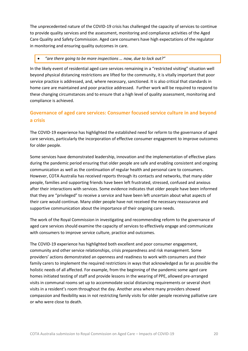The unprecedented nature of the COVID-19 crisis has challenged the capacity of services to continue to provide quality services and the assessment, monitoring and compliance activities of the Aged Care Quality and Safety Commission. Aged care consumers have high expectations of the regulator in monitoring and ensuring quality outcomes in care.

#### • *"are there going to be more inspections … now, due to lock out?"*

In the likely event of residential aged care services remaining in a "restricted visiting" situation well beyond physical distancing restrictions are lifted for the community, it is vitally important that poor service practice is addressed, and, where necessary, sanctioned. It is also critical that standards in home care are maintained and poor practice addressed. Further work will be required to respond to these changing circumstances and to ensure that a high level of quality assessment, monitoring and compliance is achieved.

# <span id="page-19-0"></span>**Governance of aged care services: Consumer focused service culture in and beyond a crisis**

The COVID-19 experience has highlighted the established need for reform to the governance of aged care services, particularly the incorporation of effective consumer engagement to improve outcomes for older people.

Some services have demonstrated leadership, innovation and the implementation of effective plans during the pandemic period ensuring that older people are safe and enabling consistent and ongoing communication as well as the continuation of regular health and personal care to consumers. However, COTA Australia has received reports through its contacts and networks, that many older people, families and supporting friends have been left frustrated, stressed, confused and anxious after their interactions with services. Some evidence indicates that older people have been informed that they are "privileged" to receive a service and have been left uncertain about what aspects of their care would continue. Many older people have not received the necessary reassurance and supportive communication about the importance of their ongoing care needs.

The work of the Royal Commission in investigating and recommending reform to the governance of aged care services should examine the capacity of services to effectively engage and communicate with consumers to improve service culture, practice and outcomes.

The COVID-19 experience has highlighted both excellent and poor consumer engagement, community and other service relationships, crisis preparedness and risk management. Some providers' actions demonstrated an openness and readiness to work with consumers and their family carers to implement the required restrictions in ways that acknowledged as far as possible the holistic needs of all affected. For example, from the beginning of the pandemic some aged care homes initiated testing of staff and provide lessons in the wearing of PPE, allowed pre-arranged visits in communal rooms set up to accommodate social distancing requirements or several short visits in a resident's room throughout the day. Another area where many providers showed compassion and flexibility was in not restricting family visits for older people receiving palliative care or who were close to death.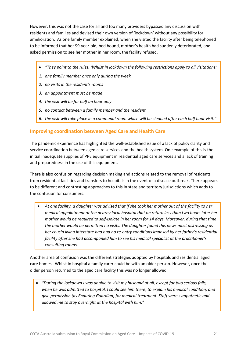However, this was not the case for all and too many providers bypassed any discussion with residents and families and devised their own version of 'lockdown' without any possibility for amelioration. As one family member explained, when she visited the facility after being telephoned to be informed that her 99-year-old, bed bound, mother's health had suddenly deteriorated, and asked permission to see her mother in her room, the facility refused.

- *"They point to the rules, 'Whilst in lockdown the following restrictions apply to all visitations:*
- *1. one family member once only during the week*
- *2. no visits in the resident's rooms*
- *3. an appointment must be made*
- *4. the visit will be for half an hour only*
- *5. no contact between a family member and the resident*
- *6. the visit will take place in a communal room which will be cleaned after each half hour visit."*

#### <span id="page-20-0"></span>**Improving coordination between Aged Care and Health Care**

The pandemic experience has highlighted the well-established issue of a lack of policy clarity and service coordination between aged care services and the health system. One example of this is the initial inadequate supplies of PPE equipment in residential aged care services and a lack of training and preparedness in the use of this equipment.

There is also confusion regarding decision making and actions related to the removal of residents from residential facilities and transfers to hospitals in the event of a disease outbreak. There appears to be different and contrasting approaches to this in state and territory jurisdictions which adds to the confusion for consumers.

• *At one facility, a daughter was advised that if she took her mother out of the facility to her medical appointment at the nearby local hospital that on return less than two hours later her mother would be required to self-isolate in her room for 14 days. Moreover, during that time the mother would be permitted no visits. The daughter found this news most distressing as her cousin living interstate had had no re-entry conditions imposed by her father's residential facility after she had accompanied him to see his medical specialist at the practitioner's consulting rooms.* 

Another area of confusion was the different strategies adopted by hospitals and residential aged care homes. Whilst in hospital a family carer could be with an older person. However, once the older person returned to the aged care facility this was no longer allowed.

• *"During the lockdown I was unable to visit my husband at all, except for two serious falls, when he was admitted to hospital. I could see him there, to explain his medical condition, and give permission (as Enduring Guardian) for medical treatment. Staff were sympathetic and allowed me to stay overnight at the hospital with him."*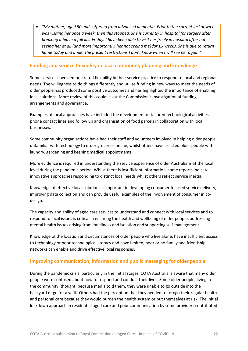• *"My mother, aged 90 and suffering from advanced dementia. Prior to the current lockdown I was visiting her once a week, then this stopped. She is currently in hospital for surgery after breaking a hip in a fall last Friday. I have been able to visit her freely in hospital after not seeing her at all (and more importantly, her not seeing me) for six weeks. She is due to return home today and under the present restrictions I don't know when I will see her again."*

#### <span id="page-21-0"></span>**Funding and service flexibility in local community planning and knowledge**

Some services have demonstrated flexibility in their service practice to respond to local and regional needs. The willingness to do things differently and utilise funding in new ways to meet the needs of older people has produced some positive outcomes and has highlighted the importance of enabling local solutions. More review of this could assist the Commission's investigation of funding arrangements and governance.

Examples of local approaches have included the development of tailored technological activities, phone contact lines and follow up and organisation of food parcels in collaboration with local businesses.

Some community organisations have had their staff and volunteers involved in helping older people unfamiliar with technology to order groceries online, whilst others have assisted older people with laundry, gardening and keeping medical appointments.

More evidence is required in understanding the service experience of older Australians at the local level during the pandemic period. Whilst there is insufficient information, some reports indicate innovative approaches responding to distinct local needs whilst others reflect service inertia.

Knowledge of effective local solutions is important in developing consumer focused service delivery, improving data collection and can provide useful examples of the involvement of consumer in codesign.

The capacity and ability of aged care services to understand and connect with local services and to respond to local issues is critical in ensuring the health and wellbeing of older people, addressing mental health issues arising from loneliness and isolation and supporting self-management.

Knowledge of the location and circumstances of older people who live alone, have insufficient access to technology or poor technological literacy and have limited, poor or no family and friendship networks can enable and drive effective local responses.

#### <span id="page-21-1"></span>**Improving communication, information and public messaging for older people**

During the pandemic crisis, particularly in the initial stages, COTA Australia is aware that many older people were confused about how to respond and conduct their lives. Some older people, living in the community, thought, because media told them, they were unable to go outside into the backyard or go for a walk. Others had the perception that they needed to forego their regular health and personal care because they would burden the health system or put themselves at risk. The initial lockdown approach in residential aged care and poor communication by some providers contributed